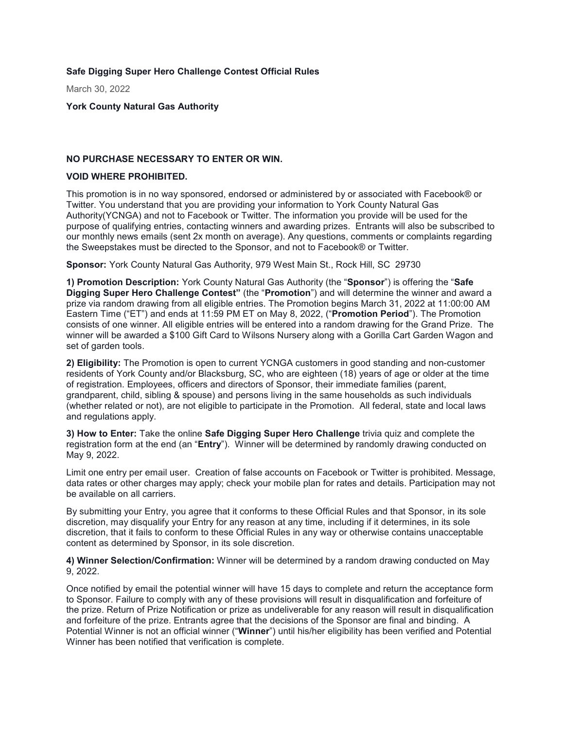**Safe Digging Super Hero Challenge Contest Official Rules**

March 30, 2022

**York County Natural Gas Authority**

## **NO PURCHASE NECESSARY TO ENTER OR WIN.**

### **VOID WHERE PROHIBITED.**

This promotion is in no way sponsored, endorsed or administered by or associated with Facebook® or Twitter. You understand that you are providing your information to York County Natural Gas Authority(YCNGA) and not to Facebook or Twitter. The information you provide will be used for the purpose of qualifying entries, contacting winners and awarding prizes. Entrants will also be subscribed to our monthly news emails (sent 2x month on average). Any questions, comments or complaints regarding the Sweepstakes must be directed to the Sponsor, and not to Facebook® or Twitter.

**Sponsor:** York County Natural Gas Authority, 979 West Main St., Rock Hill, SC 29730

**1) Promotion Description:** York County Natural Gas Authority (the "**Sponsor**") is offering the "**Safe Digging Super Hero Challenge Contest"** (the "**Promotion**") and will determine the winner and award a prize via random drawing from all eligible entries. The Promotion begins March 31, 2022 at 11:00:00 AM Eastern Time ("ET") and ends at 11:59 PM ET on May 8, 2022, ("**Promotion Period**"). The Promotion consists of one winner. All eligible entries will be entered into a random drawing for the Grand Prize. The winner will be awarded a \$100 Gift Card to Wilsons Nursery along with a Gorilla Cart Garden Wagon and set of garden tools.

**2) Eligibility:** The Promotion is open to current YCNGA customers in good standing and non-customer residents of York County and/or Blacksburg, SC, who are eighteen (18) years of age or older at the time of registration. Employees, officers and directors of Sponsor, their immediate families (parent, grandparent, child, sibling & spouse) and persons living in the same households as such individuals (whether related or not), are not eligible to participate in the Promotion. All federal, state and local laws and regulations apply.

**3) How to Enter:** Take the online **Safe Digging Super Hero Challenge** trivia quiz and complete the registration form at the end (an "**Entry**"). Winner will be determined by randomly drawing conducted on May 9, 2022.

Limit one entry per email user. Creation of false accounts on Facebook or Twitter is prohibited. Message, data rates or other charges may apply; check your mobile plan for rates and details. Participation may not be available on all carriers.

By submitting your Entry, you agree that it conforms to these Official Rules and that Sponsor, in its sole discretion, may disqualify your Entry for any reason at any time, including if it determines, in its sole discretion, that it fails to conform to these Official Rules in any way or otherwise contains unacceptable content as determined by Sponsor, in its sole discretion.

**4) Winner Selection/Confirmation:** Winner will be determined by a random drawing conducted on May 9, 2022.

Once notified by email the potential winner will have 15 days to complete and return the acceptance form to Sponsor. Failure to comply with any of these provisions will result in disqualification and forfeiture of the prize. Return of Prize Notification or prize as undeliverable for any reason will result in disqualification and forfeiture of the prize. Entrants agree that the decisions of the Sponsor are final and binding. A Potential Winner is not an official winner ("**Winner**") until his/her eligibility has been verified and Potential Winner has been notified that verification is complete.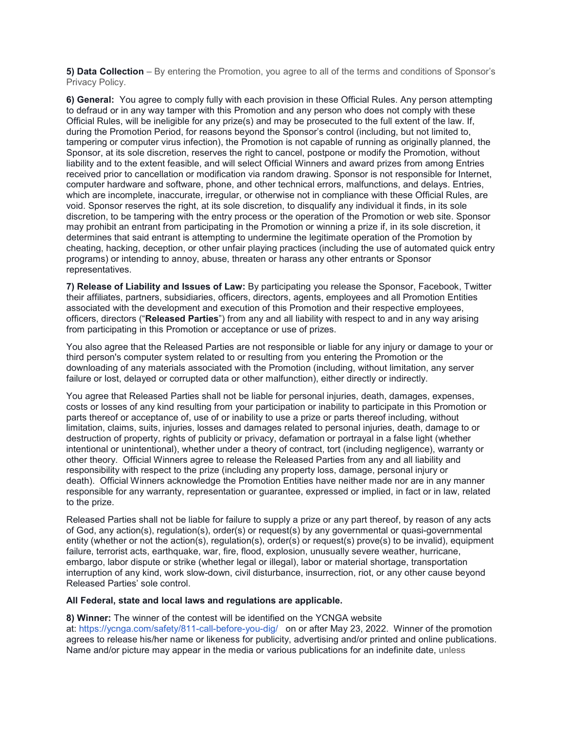**5) Data Collection** – By entering the Promotion, you agree to all of the terms and conditions of Sponsor's Privacy Policy.

**6) General:** You agree to comply fully with each provision in these Official Rules. Any person attempting to defraud or in any way tamper with this Promotion and any person who does not comply with these Official Rules, will be ineligible for any prize(s) and may be prosecuted to the full extent of the law. If, during the Promotion Period, for reasons beyond the Sponsor's control (including, but not limited to, tampering or computer virus infection), the Promotion is not capable of running as originally planned, the Sponsor, at its sole discretion, reserves the right to cancel, postpone or modify the Promotion, without liability and to the extent feasible, and will select Official Winners and award prizes from among Entries received prior to cancellation or modification via random drawing. Sponsor is not responsible for Internet, computer hardware and software, phone, and other technical errors, malfunctions, and delays. Entries, which are incomplete, inaccurate, irregular, or otherwise not in compliance with these Official Rules, are void. Sponsor reserves the right, at its sole discretion, to disqualify any individual it finds, in its sole discretion, to be tampering with the entry process or the operation of the Promotion or web site. Sponsor may prohibit an entrant from participating in the Promotion or winning a prize if, in its sole discretion, it determines that said entrant is attempting to undermine the legitimate operation of the Promotion by cheating, hacking, deception, or other unfair playing practices (including the use of automated quick entry programs) or intending to annoy, abuse, threaten or harass any other entrants or Sponsor representatives.

**7) Release of Liability and Issues of Law:** By participating you release the Sponsor, Facebook, Twitter their affiliates, partners, subsidiaries, officers, directors, agents, employees and all Promotion Entities associated with the development and execution of this Promotion and their respective employees, officers, directors ("**Released Parties**") from any and all liability with respect to and in any way arising from participating in this Promotion or acceptance or use of prizes.

You also agree that the Released Parties are not responsible or liable for any injury or damage to your or third person's computer system related to or resulting from you entering the Promotion or the downloading of any materials associated with the Promotion (including, without limitation, any server failure or lost, delayed or corrupted data or other malfunction), either directly or indirectly.

You agree that Released Parties shall not be liable for personal injuries, death, damages, expenses, costs or losses of any kind resulting from your participation or inability to participate in this Promotion or parts thereof or acceptance of, use of or inability to use a prize or parts thereof including, without limitation, claims, suits, injuries, losses and damages related to personal injuries, death, damage to or destruction of property, rights of publicity or privacy, defamation or portrayal in a false light (whether intentional or unintentional), whether under a theory of contract, tort (including negligence), warranty or other theory. Official Winners agree to release the Released Parties from any and all liability and responsibility with respect to the prize (including any property loss, damage, personal injury or death). Official Winners acknowledge the Promotion Entities have neither made nor are in any manner responsible for any warranty, representation or guarantee, expressed or implied, in fact or in law, related to the prize.

Released Parties shall not be liable for failure to supply a prize or any part thereof, by reason of any acts of God, any action(s), regulation(s), order(s) or request(s) by any governmental or quasi-governmental entity (whether or not the action(s), regulation(s), order(s) or request(s) prove(s) to be invalid), equipment failure, terrorist acts, earthquake, war, fire, flood, explosion, unusually severe weather, hurricane, embargo, labor dispute or strike (whether legal or illegal), labor or material shortage, transportation interruption of any kind, work slow-down, civil disturbance, insurrection, riot, or any other cause beyond Released Parties' sole control.

### **All Federal, state and local laws and regulations are applicable.**

#### **8) Winner:** The winner of the contest will be identified on the YCNGA website

at: <https://ycnga.com/safety/811-call-before-you-dig/>on or after May 23, 2022. Winner of the promotion agrees to release his/her name or likeness for publicity, advertising and/or printed and online publications. Name and/or picture may appear in the media or various publications for an indefinite date, unless